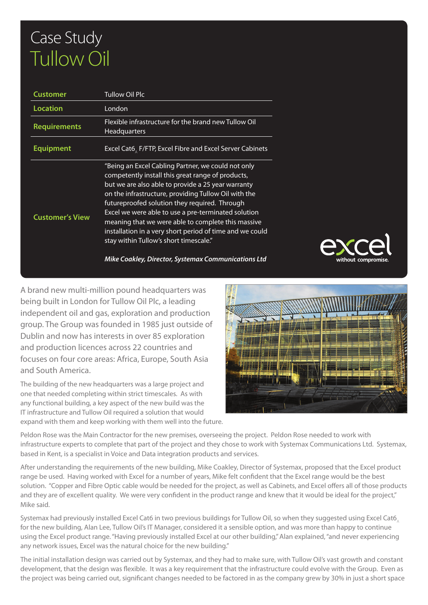## Case Study Tullow Oil

| Customer               | <b>Tullow Oil Plc</b>                                                                                                                                                                                                                                                                                                                                                                                                                                                                                                                            |
|------------------------|--------------------------------------------------------------------------------------------------------------------------------------------------------------------------------------------------------------------------------------------------------------------------------------------------------------------------------------------------------------------------------------------------------------------------------------------------------------------------------------------------------------------------------------------------|
| Location               | London                                                                                                                                                                                                                                                                                                                                                                                                                                                                                                                                           |
| <b>Requirements</b>    | Flexible infrastructure for the brand new Tullow Oil<br><b>Headquarters</b>                                                                                                                                                                                                                                                                                                                                                                                                                                                                      |
| Equipment              | Excel Cat6, F/FTP, Excel Fibre and Excel Server Cabinets                                                                                                                                                                                                                                                                                                                                                                                                                                                                                         |
| <b>Customer's View</b> | "Being an Excel Cabling Partner, we could not only<br>competently install this great range of products,<br>but we are also able to provide a 25 year warranty<br>on the infrastructure, providing Tullow Oil with the<br>futureproofed solution they required. Through<br>Excel we were able to use a pre-terminated solution<br>meaning that we were able to complete this massive<br>installation in a very short period of time and we could<br>stay within Tullow's short timescale."<br>Mike Coakley, Director, Systemax Communications Ltd |



A brand new multi-million pound headquarters was being built in London for Tullow Oil Plc, a leading independent oil and gas, exploration and production group. The Group was founded in 1985 just outside of Dublin and now has interests in over 85 exploration and production licences across 22 countries and focuses on four core areas: Africa, Europe, South Asia and South America.

The building of the new headquarters was a large project and one that needed completing within strict timescales. As with any functional building, a key aspect of the new build was the IT infrastructure and Tullow Oil required a solution that would expand with them and keep working with them well into the future.



Peldon Rose was the Main Contractor for the new premises, overseeing the project. Peldon Rose needed to work with infrastructure experts to complete that part of the project and they chose to work with Systemax Communications Ltd. Systemax, based in Kent, is a specialist in Voice and Data integration products and services.

After understanding the requirements of the new building, Mike Coakley, Director of Systemax, proposed that the Excel product range be used. Having worked with Excel for a number of years, Mike felt confident that the Excel range would be the best solution. "Copper and Fibre Optic cable would be needed for the project, as well as Cabinets, and Excel offers all of those products and they are of excellent quality. We were very confident in the product range and knew that it would be ideal for the project," Mike said.

Systemax had previously installed Excel Cat6 in two previous buildings for Tullow Oil, so when they suggested using Excel Cat6. for the new building, Alan Lee, Tullow Oil's IT Manager, considered it a sensible option, and was more than happy to continue using the Excel product range. "Having previously installed Excel at our other building," Alan explained, "and never experiencing any network issues, Excel was the natural choice for the new building."

The initial installation design was carried out by Systemax, and they had to make sure, with Tullow Oil's vast growth and constant development, that the design was flexible. It was a key requirement that the infrastructure could evolve with the Group. Even as the project was being carried out, significant changes needed to be factored in as the company grew by 30% in just a short space